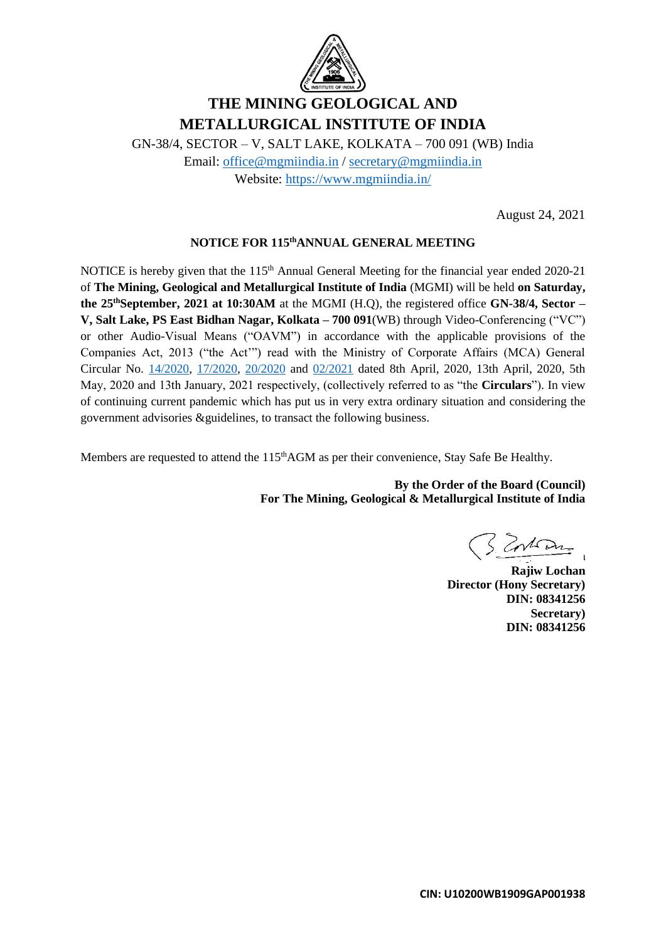

# **THE MINING GEOLOGICAL AND METALLURGICAL INSTITUTE OF INDIA**

GN-38/4, SECTOR – V, SALT LAKE, KOLKATA – 700 091 (WB) India Email: [office@mgmiindia.in](mailto:office@mgmiindia.in) / [secretary@mgmiindia.in](mailto:secretary@mgmiindia.in) Website:<https://www.mgmiindia.in/>

August 24, 2021

## **NOTICE FOR 115thANNUAL GENERAL MEETING**

NOTICE is hereby given that the 115<sup>th</sup> Annual General Meeting for the financial year ended 2020-21 of **The Mining, Geological and Metallurgical Institute of India** (MGMI) will be held **on Saturday, the 25thSeptember, 2021 at 10:30AM** at the MGMI (H.Q), the registered office **GN-38/4, Sector – V, Salt Lake, PS East Bidhan Nagar, Kolkata – 700 091**(WB) through Video-Conferencing ("VC") or other Audio-Visual Means ("OAVM") in accordance with the applicable provisions of the Companies Act, 2013 ("the Act'") read with the Ministry of Corporate Affairs (MCA) General Circular No. [14/2020,](https://www.mca.gov.in/Ministry/pdf/Circular14_08042020.pdf) [17/2020,](https://www.mca.gov.in/Ministry/pdf/Circular17_13042020.pdf) [20/2020](https://www.mca.gov.in/Ministry/pdf/Circular20_05052020.pdf) and [02/2021](https://www.mca.gov.in/Ministry/pdf/GeneralCircularNo.02_14012021.pdf) dated 8th April, 2020, 13th April, 2020, 5th May, 2020 and 13th January, 2021 respectively, (collectively referred to as "the **Circulars**"). In view of continuing current pandemic which has put us in very extra ordinary situation and considering the government advisories &guidelines, to transact the following business.

Members are requested to attend the 115<sup>th</sup>AGM as per their convenience, Stay Safe Be Healthy.

**By the Order of the Board (Council) For The Mining, Geological & Metallurgical Institute of India**

**Rajiw Lochan**

**Rajiw Lochan Director (Hony Secretary) DIN: 08341256 Secretary) DIN: 08341256**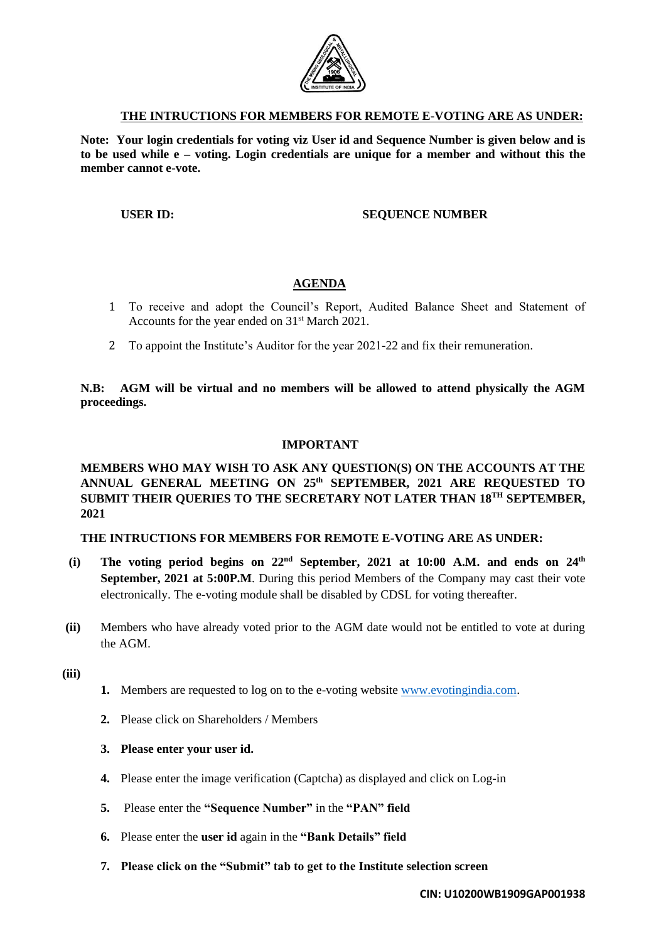

#### **THE INTRUCTIONS FOR MEMBERS FOR REMOTE E-VOTING ARE AS UNDER:**

**Note: Your login credentials for voting viz User id and Sequence Number is given below and is to be used while e – voting. Login credentials are unique for a member and without this the member cannot e-vote.**

#### **USER ID: SEQUENCE NUMBER**

## **AGENDA**

- 1 To receive and adopt the Council's Report, Audited Balance Sheet and Statement of Accounts for the year ended on 31<sup>st</sup> March 2021.
- 2 To appoint the Institute's Auditor for the year 2021-22 and fix their remuneration.

## **N.B: AGM will be virtual and no members will be allowed to attend physically the AGM proceedings.**

#### **IMPORTANT**

# **MEMBERS WHO MAY WISH TO ASK ANY QUESTION(S) ON THE ACCOUNTS AT THE ANNUAL GENERAL MEETING ON 25th SEPTEMBER, 2021 ARE REQUESTED TO SUBMIT THEIR QUERIES TO THE SECRETARY NOT LATER THAN 18TH SEPTEMBER, 2021**

#### **THE INTRUCTIONS FOR MEMBERS FOR REMOTE E-VOTING ARE AS UNDER:**

- **(i) The voting period begins on 22nd September, 2021 at 10:00 A.M. and ends on 24th September, 2021 at 5:00P.M**. During this period Members of the Company may cast their vote electronically. The e-voting module shall be disabled by CDSL for voting thereafter.
- **(ii)** Members who have already voted prior to the AGM date would not be entitled to vote at during the AGM.
- **(iii)**
- **1.** Members are requested to log on to the e-voting website [www.evotingindia.com.](http://www.evotingindia.com/)
- **2.** Please click on Shareholders / Members
- **3. Please enter your user id.**
- **4.** Please enter the image verification (Captcha) as displayed and click on Log-in
- **5.** Please enter the **"Sequence Number"** in the **"PAN" field**
- **6.** Please enter the **user id** again in the **"Bank Details" field**
- **7. Please click on the "Submit" tab to get to the Institute selection screen**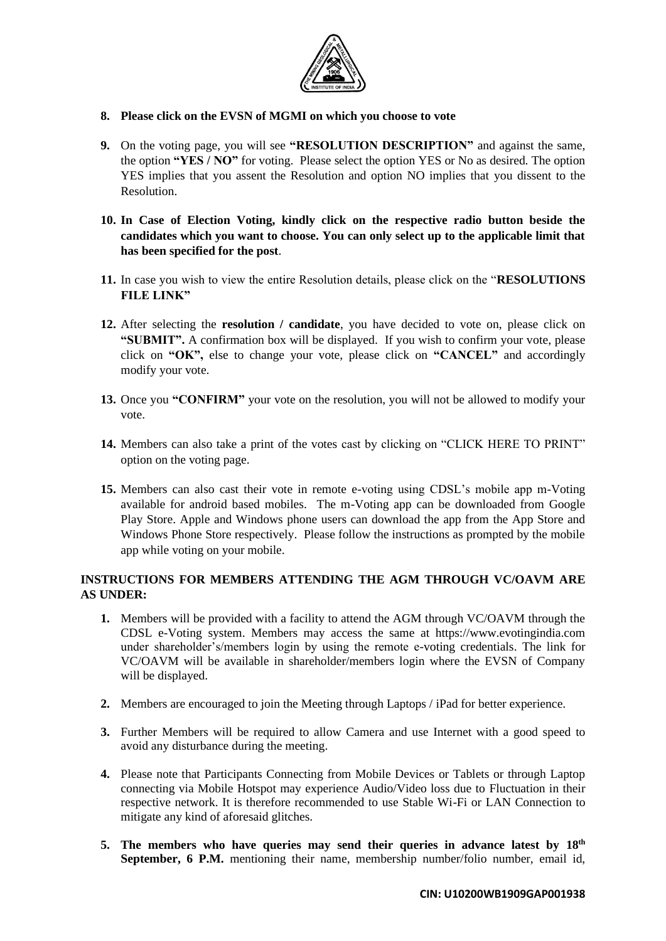

- **8. Please click on the EVSN of MGMI on which you choose to vote**
- **9.** On the voting page, you will see **"RESOLUTION DESCRIPTION"** and against the same, the option **"YES / NO"** for voting. Please select the option YES or No as desired. The option YES implies that you assent the Resolution and option NO implies that you dissent to the Resolution.
- **10. In Case of Election Voting, kindly click on the respective radio button beside the candidates which you want to choose. You can only select up to the applicable limit that has been specified for the post**.
- **11.** In case you wish to view the entire Resolution details, please click on the "**RESOLUTIONS FILE LINK"**
- **12.** After selecting the **resolution / candidate**, you have decided to vote on, please click on **"SUBMIT".** A confirmation box will be displayed. If you wish to confirm your vote, please click on **"OK",** else to change your vote, please click on **"CANCEL"** and accordingly modify your vote.
- **13.** Once you **"CONFIRM"** your vote on the resolution, you will not be allowed to modify your vote.
- **14.** Members can also take a print of the votes cast by clicking on "CLICK HERE TO PRINT" option on the voting page.
- **15.** Members can also cast their vote in remote e-voting using CDSL's mobile app m-Voting available for android based mobiles. The m-Voting app can be downloaded from Google Play Store. Apple and Windows phone users can download the app from the App Store and Windows Phone Store respectively. Please follow the instructions as prompted by the mobile app while voting on your mobile.

# **INSTRUCTIONS FOR MEMBERS ATTENDING THE AGM THROUGH VC/OAVM ARE AS UNDER:**

- **1.** Members will be provided with a facility to attend the AGM through VC/OAVM through the CDSL e-Voting system. Members may access the same at https://www.evotingindia.com under shareholder's/members login by using the remote e-voting credentials. The link for VC/OAVM will be available in shareholder/members login where the EVSN of Company will be displayed.
- **2.** Members are encouraged to join the Meeting through Laptops / iPad for better experience.
- **3.** Further Members will be required to allow Camera and use Internet with a good speed to avoid any disturbance during the meeting.
- **4.** Please note that Participants Connecting from Mobile Devices or Tablets or through Laptop connecting via Mobile Hotspot may experience Audio/Video loss due to Fluctuation in their respective network. It is therefore recommended to use Stable Wi-Fi or LAN Connection to mitigate any kind of aforesaid glitches.
- **5. The members who have queries may send their queries in advance latest by 18th September, 6 P.M.** mentioning their name, membership number/folio number, email id,